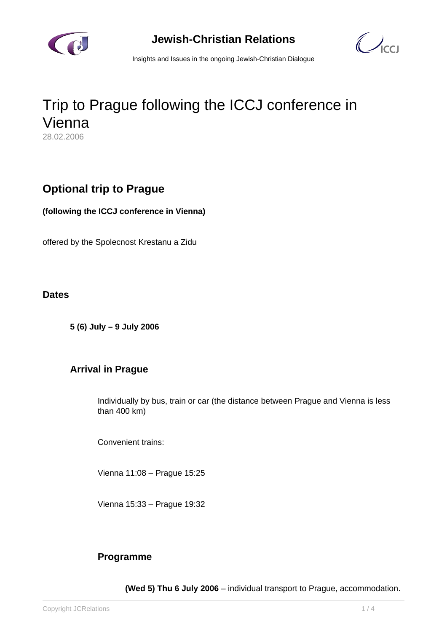



Insights and Issues in the ongoing Jewish-Christian Dialogue

# Trip to Prague following the ICCJ conference in Vienna 28.02.2006

# **Optional trip to Prague**

**(following the ICCJ conference in Vienna)**

offered by the Spolecnost Krestanu a Zidu

#### **Dates**

**5 (6) July – 9 July 2006** 

## **Arrival in Prague**

Individually by bus, train or car (the distance between Prague and Vienna is less than 400 km)

Convenient trains:

Vienna 11:08 – Prague 15:25

Vienna 15:33 – Prague 19:32

## **Programme**

**(Wed 5) Thu 6 July 2006** – individual transport to Prague, accommodation.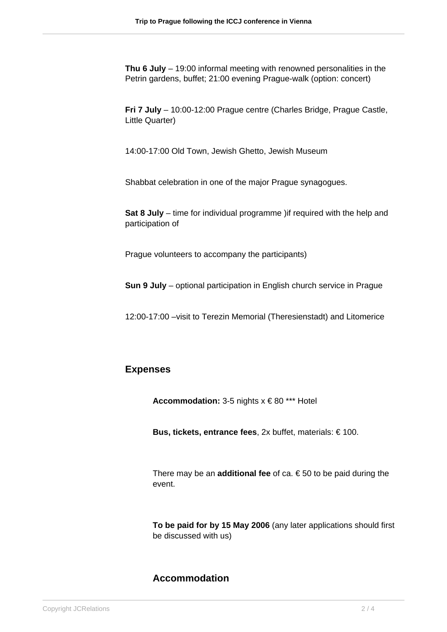**Thu 6 July** – 19:00 informal meeting with renowned personalities in the Petrin gardens, buffet; 21:00 evening Prague-walk (option: concert)

**Fri 7 July** – 10:00-12:00 Prague centre (Charles Bridge, Prague Castle, Little Quarter)

14:00-17:00 Old Town, Jewish Ghetto, Jewish Museum

Shabbat celebration in one of the major Prague synagogues.

**Sat 8 July** – time for individual programme )if required with the help and participation of

Prague volunteers to accompany the participants)

**Sun 9 July** – optional participation in English church service in Prague

12:00-17:00 –visit to Terezin Memorial (Theresienstadt) and Litomerice

#### **Expenses**

**Accommodation:** 3-5 nights x € 80 \*\*\* Hotel

**Bus, tickets, entrance fees**, 2x buffet, materials: € 100.

There may be an **additional fee** of ca.  $\epsilon$  50 to be paid during the event.

**To be paid for by 15 May 2006** (any later applications should first be discussed with us)

## **Accommodation**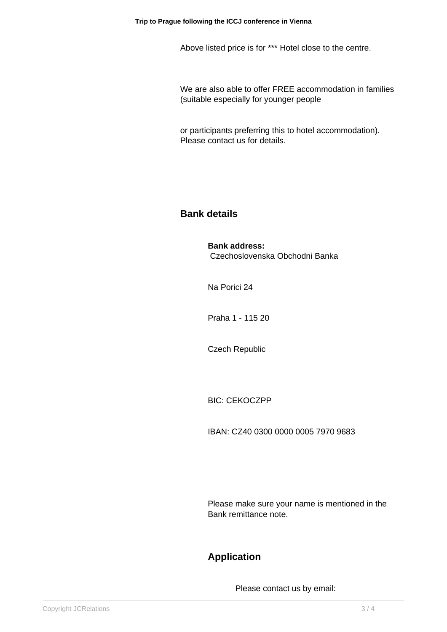Above listed price is for \*\*\* Hotel close to the centre.

We are also able to offer FREE accommodation in families (suitable especially for younger people

or participants preferring this to hotel accommodation). Please contact us for details.

## **Bank details**

# **Bank address:**

Czechoslovenska Obchodni Banka

Na Porici 24

Praha 1 - 115 20

Czech Republic

BIC: CEKOCZPP

IBAN: CZ40 0300 0000 0005 7970 9683

Please make sure your name is mentioned in the Bank remittance note.

# **Application**

Please contact us by email: